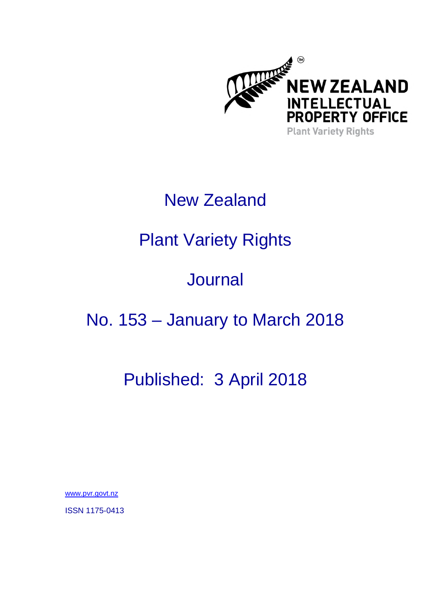

### New Zealand

# Plant Variety Rights

## **Journal**

### No. 153 – January to March 2018

### Published: 3 April 2018

www.pvr.govt.nz

ISSN 1175-0413